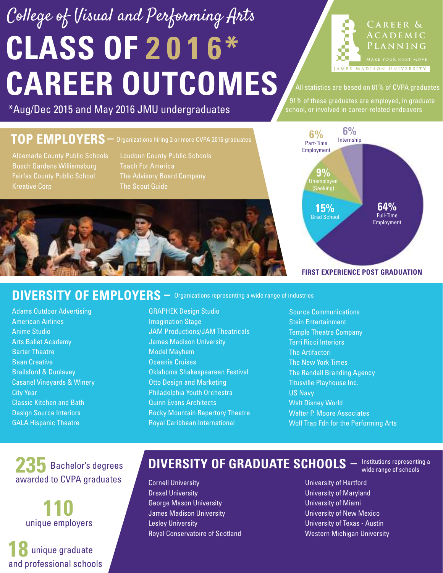# **CLASS OF 2 0 1 6\* CAREER OUTCOMES** College of Visual and Performing Arts



All statistics are based on 81% of CVPA graduates

91% of these graduates are employed, in graduate

#### \*Aug/Dec 2015 and May 2016 JMU undergraduates **Subset of the subset of the Sechool**, or involved in career-related endeavors

### **TOP EMPLOYERS –** Organizations hiring 2 or more CVPA 2016 graduates

Albemarle County Public Schools Busch Gardens Williamsburg

Loudoun County Public Schools Teach For America The Scout Guide





#### **FIRST EXPERIENCE POST GRADUATION**

#### DIVERSITY OF EMPLOYERS  $-$  Organizations representing a wide range of industries

Adams Outdoor Advertising American Airlines Anime Studio Arts Ballet Academy Barter Theatre Bean Creative Brailsford & Dunlavey Casanel Vineyards & Winery City Year Classic Kitchen and Bath Design Source Interiors GALA Hispanic Theatre

GRAPHEK Design Studio Imagination Stage JAM Productions/JAM Theatricals James Madison University Model Mayhem Oceania Cruises Oklahoma Shakespearean Festival Otto Design and Marketing Philadelphia Youth Orchestra Quinn Evans Architects Rocky Mountain Repertory Theatre Royal Caribbean International

Source Communications Stein Entertainment Temple Theatre Company Terri Ricci Interiors The Artifactori The New York Times The Randall Branding Agency Titusville Playhouse Inc. US Navy Walt Disney World Walter P. Moore Associates Wolf Trap Fdn for the Performing Arts

235 Bachelor's degrees awarded to CVPA graduates

> **110** unique employers

**18** unique graduate and professional schools

### **DIVERSITY OF GRADUATE SCHOOLS**  $-$  Institutions representing a

Cornell University Drexel University George Mason University James Madison University Lesley University Royal Conservatoire of Scotland

University of Hartford University of Maryland University of Miami University of New Mexico University of Texas - Austin Western Michigan University